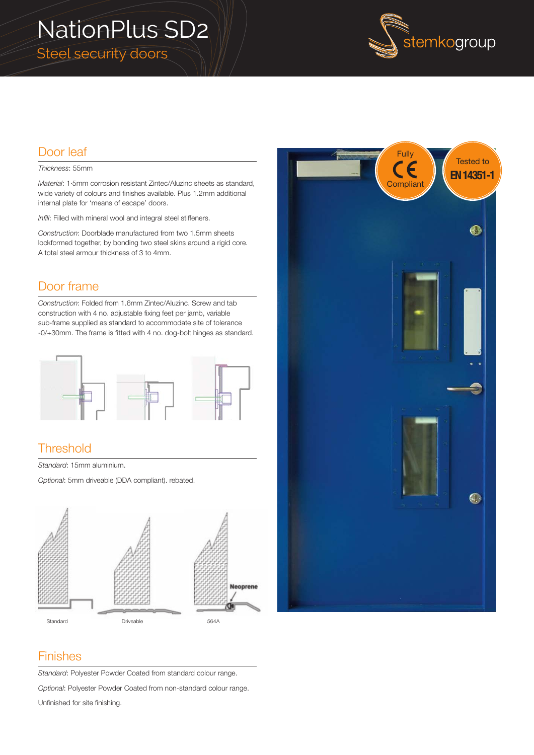



# Door leaf

#### *Thickness*: 55mm

*Material*: 1·5mm corrosion resistant Zintec/Aluzinc sheets as standard, wide variety of colours and finishes available. Plus 1.2mm additional internal plate for 'means of escape' doors.

*Infill*: Filled with mineral wool and integral steel stiffeners.

*Construction*: Doorblade manufactured from two 1.5mm sheets lockformed together, by bonding two steel skins around a rigid core. A total steel armour thickness of 3 to 4mm.

#### Door frame

*Construction*: Folded from 1.6mm Zintec/Aluzinc. Screw and tab construction with 4 no. adjustable fixing feet per jamb, variable sub-frame supplied as standard to accommodate site of tolerance -0/+30mm. The frame is fitted with 4 no. dog-bolt hinges as standard.



### **Threshold**

*Standard*: 15mm aluminium.

*Optional*: 5mm driveable (DDA compliant). rebated.





#### Finishes

*Standard*: Polyester Powder Coated from standard colour range.

*Optional*: Polyester Powder Coated from non-standard colour range.

Unfinished for site finishing.